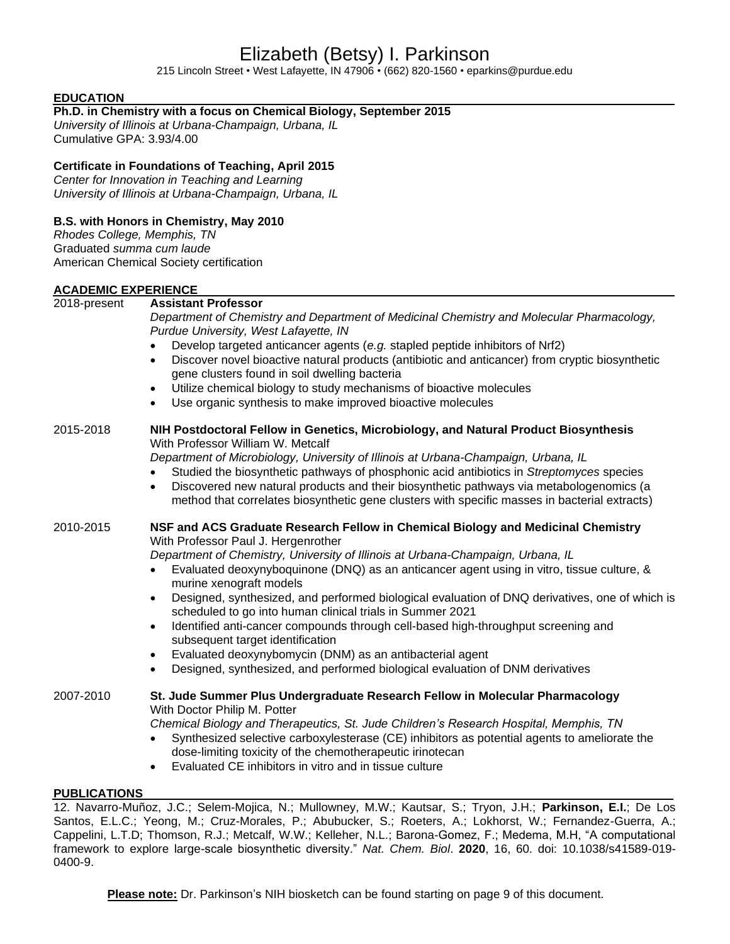# Elizabeth (Betsy) I. Parkinson

215 Lincoln Street • West Lafayette, IN 47906 • (662) 820-1560 • eparkins@purdue.edu

# **EDUCATION**

# **Ph.D. in Chemistry with a focus on Chemical Biology, September 2015**

*University of Illinois at Urbana-Champaign, Urbana, IL* Cumulative GPA: 3.93/4.00

# **Certificate in Foundations of Teaching, April 2015**

*Center for Innovation in Teaching and Learning University of Illinois at Urbana-Champaign, Urbana, IL*

# **B.S. with Honors in Chemistry, May 2010**

*Rhodes College, Memphis, TN* Graduated *summa cum laude* American Chemical Society certification

# **ACADEMIC EXPERIENCE**

| 2018-present | <b>Assistant Professor</b><br>Department of Chemistry and Department of Medicinal Chemistry and Molecular Pharmacology,<br>Purdue University, West Lafayette, IN<br>Develop targeted anticancer agents (e.g. stapled peptide inhibitors of Nrf2)<br>Discover novel bioactive natural products (antibiotic and anticancer) from cryptic biosynthetic<br>$\bullet$<br>gene clusters found in soil dwelling bacteria<br>Utilize chemical biology to study mechanisms of bioactive molecules<br>$\bullet$<br>Use organic synthesis to make improved bioactive molecules<br>$\bullet$                                                                                                                                                                                                                                            |
|--------------|-----------------------------------------------------------------------------------------------------------------------------------------------------------------------------------------------------------------------------------------------------------------------------------------------------------------------------------------------------------------------------------------------------------------------------------------------------------------------------------------------------------------------------------------------------------------------------------------------------------------------------------------------------------------------------------------------------------------------------------------------------------------------------------------------------------------------------|
| 2015-2018    | NIH Postdoctoral Fellow in Genetics, Microbiology, and Natural Product Biosynthesis<br>With Professor William W. Metcalf<br>Department of Microbiology, University of Illinois at Urbana-Champaign, Urbana, IL<br>Studied the biosynthetic pathways of phosphonic acid antibiotics in Streptomyces species<br>Discovered new natural products and their biosynthetic pathways via metabologenomics (a<br>$\bullet$<br>method that correlates biosynthetic gene clusters with specific masses in bacterial extracts)                                                                                                                                                                                                                                                                                                         |
| 2010-2015    | NSF and ACS Graduate Research Fellow in Chemical Biology and Medicinal Chemistry<br>With Professor Paul J. Hergenrother<br>Department of Chemistry, University of Illinois at Urbana-Champaign, Urbana, IL<br>Evaluated deoxynyboquinone (DNQ) as an anticancer agent using in vitro, tissue culture, &<br>murine xenograft models<br>Designed, synthesized, and performed biological evaluation of DNQ derivatives, one of which is<br>$\bullet$<br>scheduled to go into human clinical trials in Summer 2021<br>Identified anti-cancer compounds through cell-based high-throughput screening and<br>$\bullet$<br>subsequent target identification<br>Evaluated deoxynybomycin (DNM) as an antibacterial agent<br>$\bullet$<br>Designed, synthesized, and performed biological evaluation of DNM derivatives<br>$\bullet$ |
| 2007-2010    | St. Jude Summer Plus Undergraduate Research Fellow in Molecular Pharmacology<br>With Doctor Philip M. Potter<br>Chemical Biology and Therapeutics, St. Jude Children's Research Hospital, Memphis, TN<br>Synthesized selective carboxylesterase (CE) inhibitors as potential agents to ameliorate the<br>$\bullet$<br>dose-limiting toxicity of the chemotherapeutic irinotecan<br>Evaluated CE inhibitors in vitro and in tissue culture                                                                                                                                                                                                                                                                                                                                                                                   |

#### **PUBLICATIONS**

12. Navarro-Muñoz, J.C.; Selem-Mojica, N.; Mullowney, M.W.; Kautsar, S.; Tryon, J.H.; **Parkinson, E.I.**; De Los Santos, E.L.C.; Yeong, M.; Cruz-Morales, P.; Abubucker, S.; Roeters, A.; Lokhorst, W.; Fernandez-Guerra, A.; Cappelini, L.T.D; Thomson, R.J.; Metcalf, W.W.; Kelleher, N.L.; Barona-Gomez, F.; Medema, M.H, "A computational framework to explore large-scale biosynthetic diversity." *Nat. Chem. Biol*. **2020**, 16, 60. doi: 10.1038/s41589-019- 0400-9.

**Please note:** Dr. Parkinson's NIH biosketch can be found starting on page 9 of this document.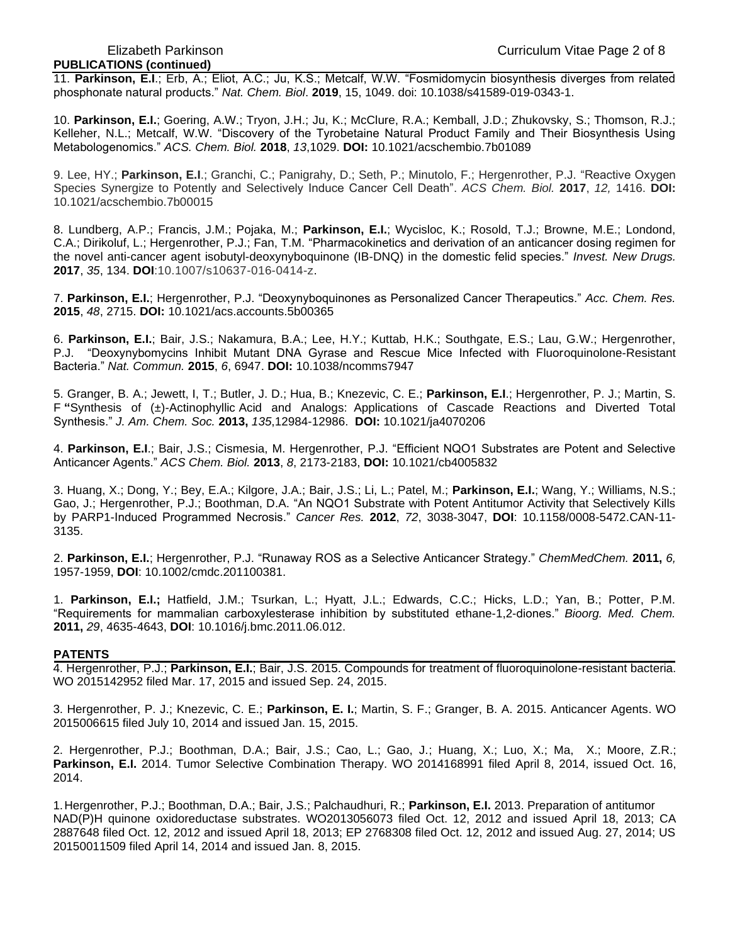# **PUBLICATIONS (continued)**

11. **Parkinson, E.I**.; Erb, A.; Eliot, A.C.; Ju, K.S.; Metcalf, W.W. "Fosmidomycin biosynthesis diverges from related phosphonate natural products." *Nat. Chem. Biol*. **2019**, 15, 1049. doi: 10.1038/s41589-019-0343-1.

10. **Parkinson, E.I.**; Goering, A.W.; Tryon, J.H.; Ju, K.; McClure, R.A.; Kemball, J.D.; Zhukovsky, S.; Thomson, R.J.; Kelleher, N.L.; Metcalf, W.W. "Discovery of the Tyrobetaine Natural Product Family and Their Biosynthesis Using Metabologenomics." *ACS. Chem. Biol.* **2018**, *13*,1029. **DOI:** 10.1021/acschembio.7b01089

9. Lee, HY.; **Parkinson, E.I**.; Granchi, C.; Panigrahy, D.; Seth, P.; Minutolo, F.; Hergenrother, P.J. "Reactive Oxygen Species Synergize to Potently and Selectively Induce Cancer Cell Death". *ACS Chem. Biol.* **2017**, *12,* 1416. **DOI:** 10.1021/acschembio.7b00015

8. Lundberg, A.P.; Francis, J.M.; Pojaka, M.; **Parkinson, E.I.**; Wycisloc, K.; Rosold, T.J.; Browne, M.E.; Londond, C.A.; Dirikoluf, L.; Hergenrother, P.J.; Fan, T.M. "Pharmacokinetics and derivation of an anticancer dosing regimen for the novel anti-cancer agent isobutyl-deoxynyboquinone (IB-DNQ) in the domestic felid species." *Invest. New Drugs.*  **2017**, *35*, 134. **DOI**:10.1007/s10637-016-0414-z.

7. **Parkinson, E.I.**; Hergenrother, P.J. "Deoxynyboquinones as Personalized Cancer Therapeutics." *Acc. Chem. Res.*  **2015**, *48*, 2715. **DOI:** 10.1021/acs.accounts.5b00365

6. **Parkinson, E.I.**; Bair, J.S.; Nakamura, B.A.; Lee, H.Y.; Kuttab, H.K.; Southgate, E.S.; Lau, G.W.; Hergenrother, P.J. "Deoxynybomycins Inhibit Mutant DNA Gyrase and Rescue Mice Infected with Fluoroquinolone-Resistant Bacteria." *Nat. Commun.* **2015**, *6*, 6947. **DOI:** 10.1038/ncomms7947

5. Granger, B. A.; Jewett, I, T.; Butler, J. D.; Hua, B.; Knezevic, C. E.; **Parkinson, E.I**.; Hergenrother, P. J.; Martin, S. F **"**Synthesis of (±)-Actinophyllic Acid and Analogs: Applications of Cascade Reactions and Diverted Total Synthesis." *J. Am. Chem. Soc.* **2013,** *135*,12984-12986. **DOI:** 10.1021/ja4070206

4. **Parkinson, E.I**.; Bair, J.S.; Cismesia, M. Hergenrother, P.J. "Efficient NQO1 Substrates are Potent and Selective Anticancer Agents." *ACS Chem. Biol.* **2013**, *8*, 2173-2183, **DOI:** 10.1021/cb4005832

3. Huang, X.; Dong, Y.; Bey, E.A.; Kilgore, J.A.; Bair, J.S.; Li, L.; Patel, M.; **Parkinson, E.I.**; Wang, Y.; Williams, N.S.; Gao, J.; Hergenrother, P.J.; Boothman, D.A. "An NQO1 Substrate with Potent Antitumor Activity that Selectively Kills by PARP1-Induced Programmed Necrosis." *Cancer Res.* **2012**, *72*, 3038-3047, **DOI**: 10.1158/0008-5472.CAN-11- 3135.

2. **Parkinson, E.I.**; Hergenrother, P.J. "Runaway ROS as a Selective Anticancer Strategy." *ChemMedChem.* **2011,** *6,*  1957-1959, **DOI**: 10.1002/cmdc.201100381.

1. **Parkinson, E.I.;** Hatfield, J.M.; Tsurkan, L.; Hyatt, J.L.; Edwards, C.C.; Hicks, L.D.; Yan, B.; Potter, P.M. "Requirements for mammalian carboxylesterase inhibition by substituted ethane-1,2-diones." *Bioorg. Med. Chem.*  **2011,** *29*, 4635-4643, **DOI**: 10.1016/j.bmc.2011.06.012.

#### **PATENTS**

4. Hergenrother, P.J.; **Parkinson, E.I.**; Bair, J.S. 2015. Compounds for treatment of fluoroquinolone-resistant bacteria. WO 2015142952 filed Mar. 17, 2015 and issued Sep. 24, 2015.

3. Hergenrother, P. J.; Knezevic, C. E.; **Parkinson, E. I.**; Martin, S. F.; Granger, B. A. 2015. Anticancer Agents. WO 2015006615 filed July 10, 2014 and issued Jan. 15, 2015.

2. Hergenrother, P.J.; Boothman, D.A.; Bair, J.S.; Cao, L.; Gao, J.; Huang, X.; Luo, X.; Ma, X.; Moore, Z.R.; **Parkinson, E.I.** 2014. Tumor Selective Combination Therapy. WO 2014168991 filed April 8, 2014, issued Oct. 16, 2014.

1.Hergenrother, P.J.; Boothman, D.A.; Bair, J.S.; Palchaudhuri, R.; **Parkinson, E.I.** 2013. Preparation of antitumor NAD(P)H quinone oxidoreductase substrates. WO2013056073 filed Oct. 12, 2012 and issued April 18, 2013; CA 2887648 filed Oct. 12, 2012 and issued April 18, 2013; EP 2768308 filed Oct. 12, 2012 and issued Aug. 27, 2014; US 20150011509 filed April 14, 2014 and issued Jan. 8, 2015.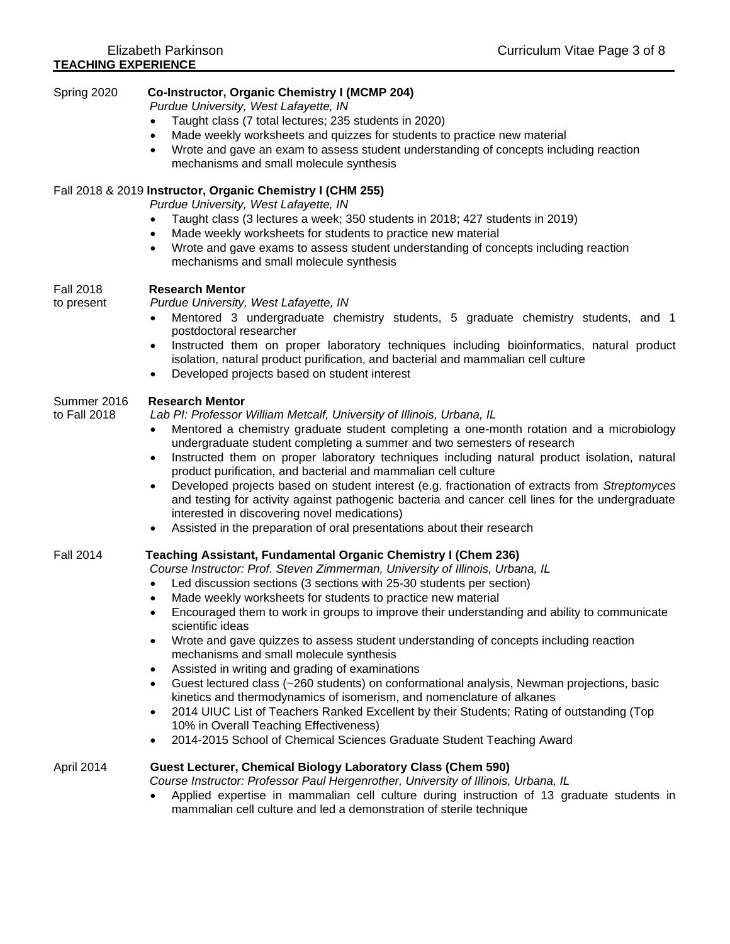| Spring 2020                    | Co-Instructor, Organic Chemistry I (MCMP 204)<br>Purdue University, West Lafayette, IN<br>Taught class (7 total lectures; 235 students in 2020)<br>$\bullet$<br>Made weekly worksheets and quizzes for students to practice new material<br>$\bullet$<br>Wrote and gave an exam to assess student understanding of concepts including reaction<br>mechanisms and small molecule synthesis                                                                                                                                                                                                                                                                                                                                                                                                                                                                                                                                                                                                                                       |
|--------------------------------|---------------------------------------------------------------------------------------------------------------------------------------------------------------------------------------------------------------------------------------------------------------------------------------------------------------------------------------------------------------------------------------------------------------------------------------------------------------------------------------------------------------------------------------------------------------------------------------------------------------------------------------------------------------------------------------------------------------------------------------------------------------------------------------------------------------------------------------------------------------------------------------------------------------------------------------------------------------------------------------------------------------------------------|
|                                | Fall 2018 & 2019 Instructor, Organic Chemistry I (CHM 255)<br>Purdue University, West Lafayette, IN<br>Taught class (3 lectures a week; 350 students in 2018; 427 students in 2019)<br>Made weekly worksheets for students to practice new material<br>Wrote and gave exams to assess student understanding of concepts including reaction<br>mechanisms and small molecule synthesis                                                                                                                                                                                                                                                                                                                                                                                                                                                                                                                                                                                                                                           |
| <b>Fall 2018</b><br>to present | <b>Research Mentor</b><br>Purdue University, West Lafayette, IN<br>Mentored 3 undergraduate chemistry students, 5 graduate chemistry students, and 1<br>postdoctoral researcher<br>Instructed them on proper laboratory techniques including bioinformatics, natural product<br>isolation, natural product purification, and bacterial and mammalian cell culture<br>Developed projects based on student interest<br>$\bullet$                                                                                                                                                                                                                                                                                                                                                                                                                                                                                                                                                                                                  |
| Summer 2016<br>to Fall 2018    | <b>Research Mentor</b><br>Lab PI: Professor William Metcalf, University of Illinois, Urbana, IL<br>Mentored a chemistry graduate student completing a one-month rotation and a microbiology<br>$\bullet$<br>undergraduate student completing a summer and two semesters of research<br>Instructed them on proper laboratory techniques including natural product isolation, natural<br>$\bullet$<br>product purification, and bacterial and mammalian cell culture<br>Developed projects based on student interest (e.g. fractionation of extracts from Streptomyces<br>$\bullet$<br>and testing for activity against pathogenic bacteria and cancer cell lines for the undergraduate<br>interested in discovering novel medications)<br>Assisted in the preparation of oral presentations about their research<br>$\bullet$                                                                                                                                                                                                    |
| <b>Fall 2014</b>               | Teaching Assistant, Fundamental Organic Chemistry I (Chem 236)<br>Course Instructor: Prof. Steven Zimmerman, University of Illinois, Urbana, IL<br>Led discussion sections (3 sections with 25-30 students per section)<br>Made weekly worksheets for students to practice new material<br>Encouraged them to work in groups to improve their understanding and ability to communicate<br>scientific ideas<br>Wrote and gave quizzes to assess student understanding of concepts including reaction<br>$\bullet$<br>mechanisms and small molecule synthesis<br>Assisted in writing and grading of examinations<br>$\bullet$<br>Guest lectured class (~260 students) on conformational analysis, Newman projections, basic<br>kinetics and thermodynamics of isomerism, and nomenclature of alkanes<br>2014 UIUC List of Teachers Ranked Excellent by their Students; Rating of outstanding (Top<br>$\bullet$<br>10% in Overall Teaching Effectiveness)<br>2014-2015 School of Chemical Sciences Graduate Student Teaching Award |
| April 2014                     | Guest Lecturer, Chemical Biology Laboratory Class (Chem 590)<br>Course Instructor: Professor Paul Hergenrother, University of Illinois, Urbana, IL<br>Applied expertise in mammalian cell culture during instruction of 13 graduate students in<br>mammalian cell culture and led a demonstration of sterile technique                                                                                                                                                                                                                                                                                                                                                                                                                                                                                                                                                                                                                                                                                                          |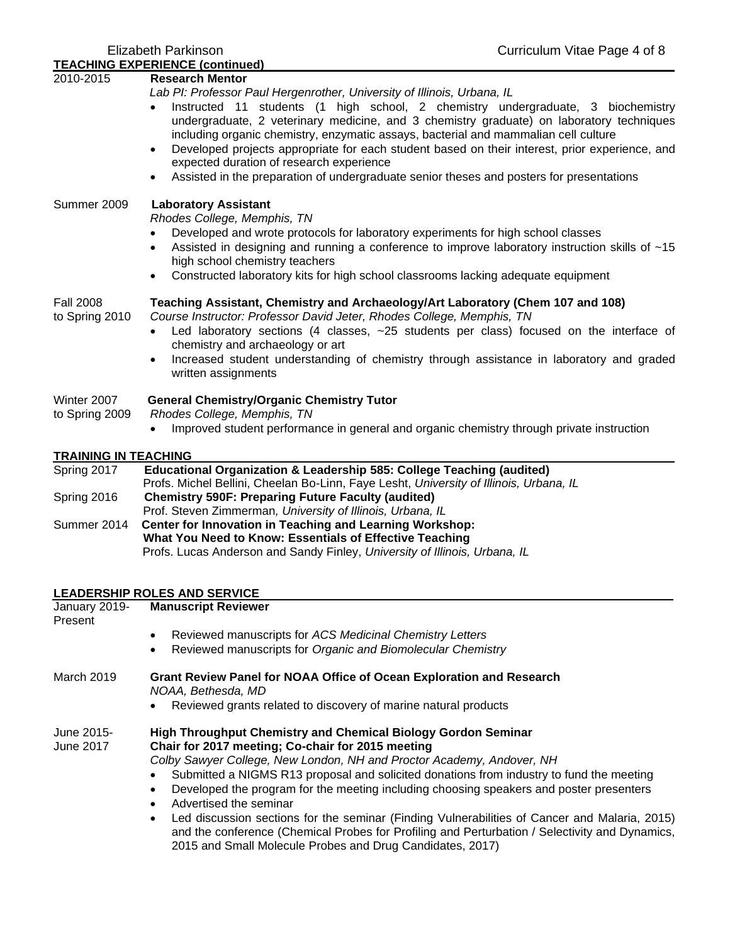| <b>TEACHING EXPERIENCE (continued)</b><br>2010-2015 | <b>Research Mentor</b>                                                                                                           |
|-----------------------------------------------------|----------------------------------------------------------------------------------------------------------------------------------|
|                                                     | Lab PI: Professor Paul Hergenrother, University of Illinois, Urbana, IL                                                          |
|                                                     | Instructed 11 students (1 high school, 2 chemistry undergraduate, 3 biochemistry<br>$\bullet$                                    |
|                                                     | undergraduate, 2 veterinary medicine, and 3 chemistry graduate) on laboratory techniques                                         |
|                                                     | including organic chemistry, enzymatic assays, bacterial and mammalian cell culture                                              |
|                                                     | Developed projects appropriate for each student based on their interest, prior experience, and<br>$\bullet$                      |
|                                                     | expected duration of research experience                                                                                         |
|                                                     | Assisted in the preparation of undergraduate senior theses and posters for presentations<br>$\bullet$                            |
| Summer 2009                                         | <b>Laboratory Assistant</b>                                                                                                      |
|                                                     | Rhodes College, Memphis, TN                                                                                                      |
|                                                     | Developed and wrote protocols for laboratory experiments for high school classes                                                 |
|                                                     | Assisted in designing and running a conference to improve laboratory instruction skills of ~15<br>high school chemistry teachers |
|                                                     | Constructed laboratory kits for high school classrooms lacking adequate equipment                                                |
| <b>Fall 2008</b>                                    | Teaching Assistant, Chemistry and Archaeology/Art Laboratory (Chem 107 and 108)                                                  |
| to Spring 2010                                      | Course Instructor: Professor David Jeter, Rhodes College, Memphis, TN                                                            |
|                                                     | Led laboratory sections (4 classes, ~25 students per class) focused on the interface of<br>$\bullet$                             |
|                                                     | chemistry and archaeology or art                                                                                                 |
|                                                     | Increased student understanding of chemistry through assistance in laboratory and graded<br>$\bullet$<br>written assignments     |
| Winter 2007                                         | <b>General Chemistry/Organic Chemistry Tutor</b>                                                                                 |
| to Spring 2009                                      | Rhodes College, Memphis, TN                                                                                                      |
|                                                     | Improved student performance in general and organic chemistry through private instruction                                        |
| <b>TRAINING IN TEACHING</b>                         |                                                                                                                                  |
| Spring 2017                                         | Educational Organization & Leadership 585: College Teaching (audited)                                                            |
|                                                     | Profs. Michel Bellini, Cheelan Bo-Linn, Faye Lesht, University of Illinois, Urbana, IL                                           |
| Spring 2016                                         | <b>Chemistry 590F: Preparing Future Faculty (audited)</b><br>Prof. Steven Zimmerman, University of Illinois, Urbana, IL          |
| Summer 2014                                         | Center for Innovation in Teaching and Learning Workshop:                                                                         |
|                                                     | What You Need to Know: Essentials of Effective Teaching                                                                          |
|                                                     | Profs. Lucas Anderson and Sandy Finley, University of Illinois, Urbana, IL                                                       |
|                                                     |                                                                                                                                  |

| January 2019-<br>Present | <b>Manuscript Reviewer</b>                                                                                                                                                                                                                                                                     |  |  |
|--------------------------|------------------------------------------------------------------------------------------------------------------------------------------------------------------------------------------------------------------------------------------------------------------------------------------------|--|--|
|                          | Reviewed manuscripts for ACS Medicinal Chemistry Letters                                                                                                                                                                                                                                       |  |  |
|                          | Reviewed manuscripts for Organic and Biomolecular Chemistry<br>$\bullet$                                                                                                                                                                                                                       |  |  |
| March 2019               | <b>Grant Review Panel for NOAA Office of Ocean Exploration and Research</b><br>NOAA, Bethesda, MD                                                                                                                                                                                              |  |  |
|                          | Reviewed grants related to discovery of marine natural products                                                                                                                                                                                                                                |  |  |
| June 2015-<br>June 2017  | <b>High Throughput Chemistry and Chemical Biology Gordon Seminar</b><br>Chair for 2017 meeting; Co-chair for 2015 meeting<br>Colby Sawyer College, New London, NH and Proctor Academy, Andover, NH<br>Submitted a NIGMS R13 proposal and solicited donations from industry to fund the meeting |  |  |
|                          | Developed the program for the meeting including choosing speakers and poster presenters<br>Advertised the seminar                                                                                                                                                                              |  |  |
|                          | Led discussion sections for the seminar (Finding Vulnerabilities of Cancer and Malaria, 2015)<br>and the conference (Chemical Probes for Profiling and Perturbation / Selectivity and Dynamics,<br>2015 and Small Molecule Probes and Drug Candidates, 2017)                                   |  |  |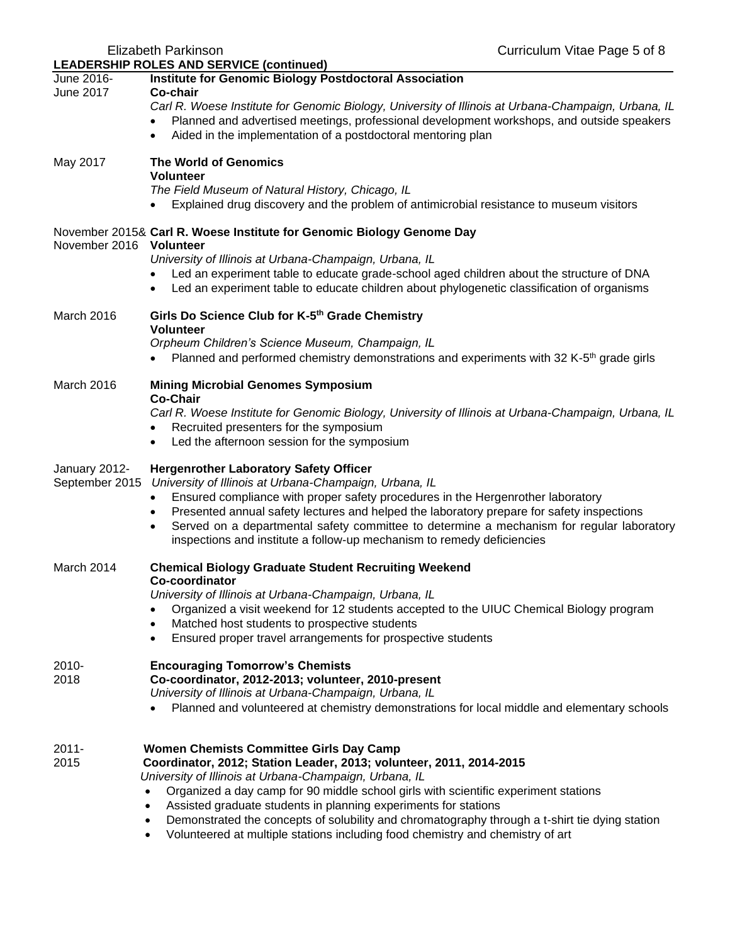|                                 | $1110$ and $111$ vinable ago of<br><b>LEADERSHIP ROLES AND SERVICE (continued)</b>                                                                                                                                                                                                                                                                                                                                                                                                       |
|---------------------------------|------------------------------------------------------------------------------------------------------------------------------------------------------------------------------------------------------------------------------------------------------------------------------------------------------------------------------------------------------------------------------------------------------------------------------------------------------------------------------------------|
| June 2016-                      | <b>Institute for Genomic Biology Postdoctoral Association</b>                                                                                                                                                                                                                                                                                                                                                                                                                            |
| June 2017                       | Co-chair<br>Carl R. Woese Institute for Genomic Biology, University of Illinois at Urbana-Champaign, Urbana, IL<br>Planned and advertised meetings, professional development workshops, and outside speakers<br>Aided in the implementation of a postdoctoral mentoring plan<br>$\bullet$                                                                                                                                                                                                |
| May 2017                        | <b>The World of Genomics</b><br><b>Volunteer</b><br>The Field Museum of Natural History, Chicago, IL<br>Explained drug discovery and the problem of antimicrobial resistance to museum visitors                                                                                                                                                                                                                                                                                          |
| November 2016 Volunteer         | November 2015& Carl R. Woese Institute for Genomic Biology Genome Day                                                                                                                                                                                                                                                                                                                                                                                                                    |
|                                 | University of Illinois at Urbana-Champaign, Urbana, IL<br>Led an experiment table to educate grade-school aged children about the structure of DNA<br>Led an experiment table to educate children about phylogenetic classification of organisms                                                                                                                                                                                                                                         |
| March 2016                      | Girls Do Science Club for K-5th Grade Chemistry<br><b>Volunteer</b>                                                                                                                                                                                                                                                                                                                                                                                                                      |
|                                 | Orpheum Children's Science Museum, Champaign, IL<br>Planned and performed chemistry demonstrations and experiments with 32 K-5 <sup>th</sup> grade girls                                                                                                                                                                                                                                                                                                                                 |
| March 2016                      | <b>Mining Microbial Genomes Symposium</b><br><b>Co-Chair</b><br>Carl R. Woese Institute for Genomic Biology, University of Illinois at Urbana-Champaign, Urbana, IL<br>Recruited presenters for the symposium<br>Led the afternoon session for the symposium<br>$\bullet$                                                                                                                                                                                                                |
| January 2012-<br>September 2015 | <b>Hergenrother Laboratory Safety Officer</b><br>University of Illinois at Urbana-Champaign, Urbana, IL<br>Ensured compliance with proper safety procedures in the Hergenrother laboratory<br>$\bullet$<br>Presented annual safety lectures and helped the laboratory prepare for safety inspections<br>$\bullet$<br>Served on a departmental safety committee to determine a mechanism for regular laboratory<br>inspections and institute a follow-up mechanism to remedy deficiencies |
| March 2014                      | <b>Chemical Biology Graduate Student Recruiting Weekend</b><br>Co-coordinator<br>University of Illinois at Urbana-Champaign, Urbana, IL<br>Organized a visit weekend for 12 students accepted to the UIUC Chemical Biology program<br>Matched host students to prospective students<br>$\bullet$<br>Ensured proper travel arrangements for prospective students<br>$\bullet$                                                                                                             |
| 2010-<br>2018                   | <b>Encouraging Tomorrow's Chemists</b><br>Co-coordinator, 2012-2013; volunteer, 2010-present<br>University of Illinois at Urbana-Champaign, Urbana, IL<br>Planned and volunteered at chemistry demonstrations for local middle and elementary schools                                                                                                                                                                                                                                    |
| $2011 -$<br>2015                | <b>Women Chemists Committee Girls Day Camp</b><br>Coordinator, 2012; Station Leader, 2013; volunteer, 2011, 2014-2015<br>University of Illinois at Urbana-Champaign, Urbana, IL<br>Organized a day camp for 90 middle school girls with scientific experiment stations<br>Assisted graduate students in planning experiments for stations<br>Demonstrated the concepts of solubility and chromatography through a t-shirt tie dying station                                              |

Elizabeth Parkinson Curriculum Vitae Page 5 of 8

• Volunteered at multiple stations including food chemistry and chemistry of art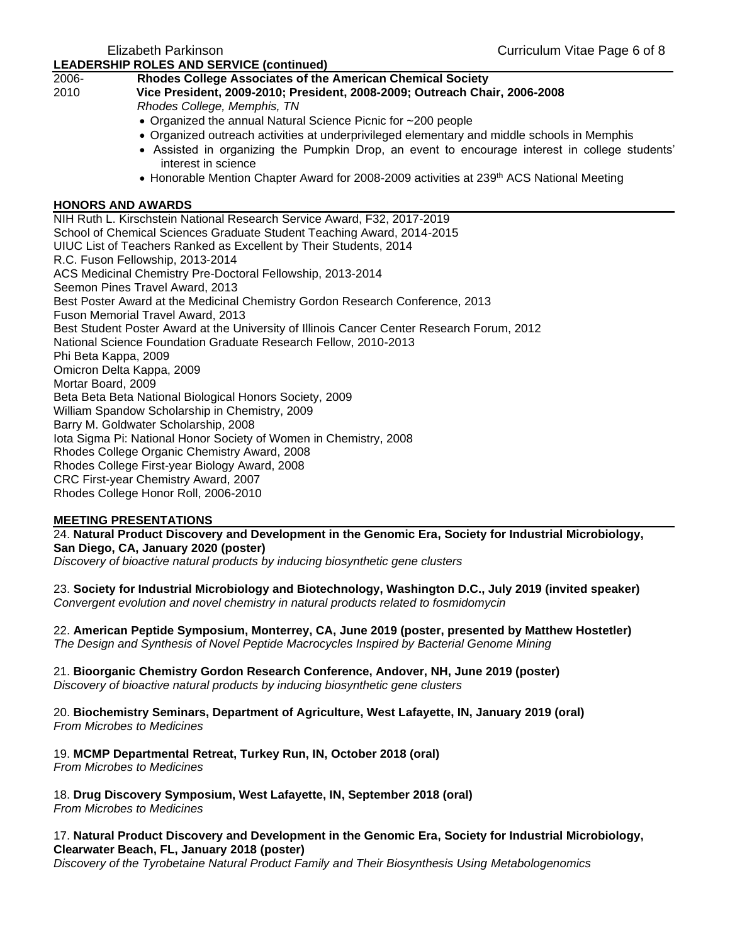|                          | LLADLROTHE ROLLS AND SLRVICL (CONTINUED)                                                                              |
|--------------------------|-----------------------------------------------------------------------------------------------------------------------|
| 2006-                    | Rhodes College Associates of the American Chemical Society                                                            |
| 2010                     | Vice President, 2009-2010; President, 2008-2009; Outreach Chair, 2006-2008                                            |
|                          | Rhodes College, Memphis, TN                                                                                           |
|                          | • Organized the annual Natural Science Picnic for ~200 people                                                         |
|                          | • Organized outreach activities at underprivileged elementary and middle schools in Memphis                           |
|                          | • Assisted in organizing the Pumpkin Drop, an event to encourage interest in college students'<br>interest in science |
|                          | • Honorable Mention Chapter Award for 2008-2009 activities at 239 <sup>th</sup> ACS National Meeting                  |
| <b>HONORS AND AWARDS</b> |                                                                                                                       |
|                          | NIH Ruth L. Kirschstein National Research Service Award, F32, 2017-2019                                               |
|                          | School of Chemical Sciences Graduate Student Teaching Award, 2014-2015                                                |
|                          | UIUC List of Teachers Ranked as Excellent by Their Students, 2014                                                     |
|                          | R.C. Fuson Fellowship, 2013-2014                                                                                      |
|                          | ACS Medicinal Chemistry Pre-Doctoral Fellowship, 2013-2014                                                            |
|                          | Seemon Pines Travel Award, 2013                                                                                       |
|                          | Best Poster Award at the Medicinal Chemistry Gordon Research Conference, 2013                                         |
|                          | Fuson Memorial Travel Award, 2013                                                                                     |
|                          | Best Student Poster Award at the University of Illinois Cancer Center Research Forum, 2012                            |
|                          | National Science Foundation Graduate Research Fellow, 2010-2013                                                       |
| Phi Beta Kappa, 2009     |                                                                                                                       |
|                          | Omicron Delta Kappa, 2009                                                                                             |
| Mortar Board, 2009       |                                                                                                                       |
|                          | Beta Beta Beta National Biological Honors Society, 2009                                                               |
|                          | William Spandow Scholarship in Chemistry, 2009                                                                        |
|                          | Barry M. Goldwater Scholarship, 2008                                                                                  |
|                          | Iota Sigma Pi: National Honor Society of Women in Chemistry, 2008                                                     |
|                          | Rhodes College Organic Chemistry Award, 2008                                                                          |
|                          | Rhodes College First-year Biology Award, 2008                                                                         |
|                          | CRC First-year Chemistry Award, 2007                                                                                  |

Rhodes College Honor Roll, 2006-2010

#### **MEETING PRESENTATIONS**

24. **Natural Product Discovery and Development in the Genomic Era, Society for Industrial Microbiology, San Diego, CA, January 2020 (poster)**

*Discovery of bioactive natural products by inducing biosynthetic gene clusters*

23. **Society for Industrial Microbiology and Biotechnology, Washington D.C., July 2019 (invited speaker)** *Convergent evolution and novel chemistry in natural products related to fosmidomycin*

22. **American Peptide Symposium, Monterrey, CA, June 2019 (poster, presented by Matthew Hostetler)** *The Design and Synthesis of Novel Peptide Macrocycles Inspired by Bacterial Genome Mining*

21. **Bioorganic Chemistry Gordon Research Conference, Andover, NH, June 2019 (poster)** *Discovery of bioactive natural products by inducing biosynthetic gene clusters*

20. **Biochemistry Seminars, Department of Agriculture, West Lafayette, IN, January 2019 (oral)** *From Microbes to Medicines*

19. **MCMP Departmental Retreat, Turkey Run, IN, October 2018 (oral)** *From Microbes to Medicines*

18. **Drug Discovery Symposium, West Lafayette, IN, September 2018 (oral)** *From Microbes to Medicines*

#### 17. **Natural Product Discovery and Development in the Genomic Era, Society for Industrial Microbiology, Clearwater Beach, FL, January 2018 (poster)**

*Discovery of the Tyrobetaine Natural Product Family and Their Biosynthesis Using Metabologenomics*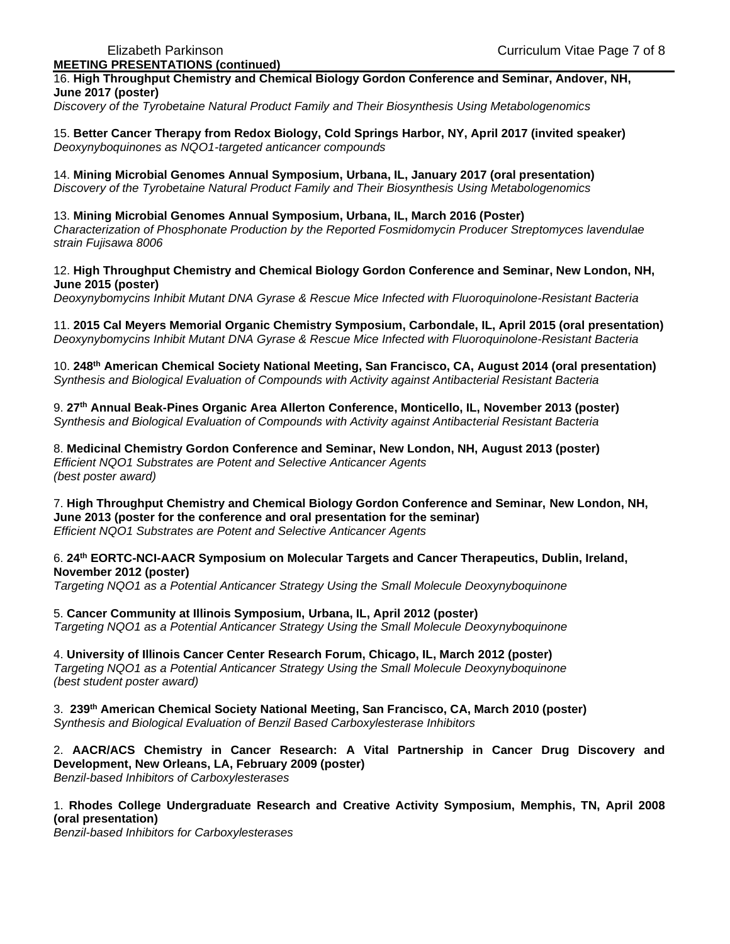16. **High Throughput Chemistry and Chemical Biology Gordon Conference and Seminar, Andover, NH, June 2017 (poster)**

*Discovery of the Tyrobetaine Natural Product Family and Their Biosynthesis Using Metabologenomics*

15. **Better Cancer Therapy from Redox Biology, Cold Springs Harbor, NY, April 2017 (invited speaker)** *Deoxynyboquinones as NQO1-targeted anticancer compounds* 

14. **Mining Microbial Genomes Annual Symposium, Urbana, IL, January 2017 (oral presentation)** *Discovery of the Tyrobetaine Natural Product Family and Their Biosynthesis Using Metabologenomics*

# 13. **Mining Microbial Genomes Annual Symposium, Urbana, IL, March 2016 (Poster)**

*Characterization of Phosphonate Production by the Reported Fosmidomycin Producer Streptomyces lavendulae strain Fujisawa 8006* 

#### 12. **High Throughput Chemistry and Chemical Biology Gordon Conference and Seminar, New London, NH, June 2015 (poster)**

*Deoxynybomycins Inhibit Mutant DNA Gyrase & Rescue Mice Infected with Fluoroquinolone-Resistant Bacteria*

11. **2015 Cal Meyers Memorial Organic Chemistry Symposium, Carbondale, IL, April 2015 (oral presentation)** *Deoxynybomycins Inhibit Mutant DNA Gyrase & Rescue Mice Infected with Fluoroquinolone-Resistant Bacteria*

10. **248th American Chemical Society National Meeting, San Francisco, CA, August 2014 (oral presentation)** *Synthesis and Biological Evaluation of Compounds with Activity against Antibacterial Resistant Bacteria*

9. **27th Annual Beak-Pines Organic Area Allerton Conference, Monticello, IL, November 2013 (poster)** *Synthesis and Biological Evaluation of Compounds with Activity against Antibacterial Resistant Bacteria*

8. **Medicinal Chemistry Gordon Conference and Seminar, New London, NH, August 2013 (poster)** *Efficient NQO1 Substrates are Potent and Selective Anticancer Agents (best poster award)*

7. **High Throughput Chemistry and Chemical Biology Gordon Conference and Seminar, New London, NH, June 2013 (poster for the conference and oral presentation for the seminar)** *Efficient NQO1 Substrates are Potent and Selective Anticancer Agents*

# 6. **24th EORTC-NCI-AACR Symposium on Molecular Targets and Cancer Therapeutics, Dublin, Ireland, November 2012 (poster)**

*Targeting NQO1 as a Potential Anticancer Strategy Using the Small Molecule Deoxynyboquinone*

5. **Cancer Community at Illinois Symposium, Urbana, IL, April 2012 (poster)** *Targeting NQO1 as a Potential Anticancer Strategy Using the Small Molecule Deoxynyboquinone* 

4. **University of Illinois Cancer Center Research Forum, Chicago, IL, March 2012 (poster)** *Targeting NQO1 as a Potential Anticancer Strategy Using the Small Molecule Deoxynyboquinone (best student poster award)*

3. **239th American Chemical Society National Meeting, San Francisco, CA, March 2010 (poster)** *Synthesis and Biological Evaluation of Benzil Based Carboxylesterase Inhibitors* 

2. **AACR/ACS Chemistry in Cancer Research: A Vital Partnership in Cancer Drug Discovery and Development, New Orleans, LA, February 2009 (poster)** *Benzil-based Inhibitors of Carboxylesterases* 

1. **Rhodes College Undergraduate Research and Creative Activity Symposium, Memphis, TN, April 2008 (oral presentation)**

*Benzil-based Inhibitors for Carboxylesterases*